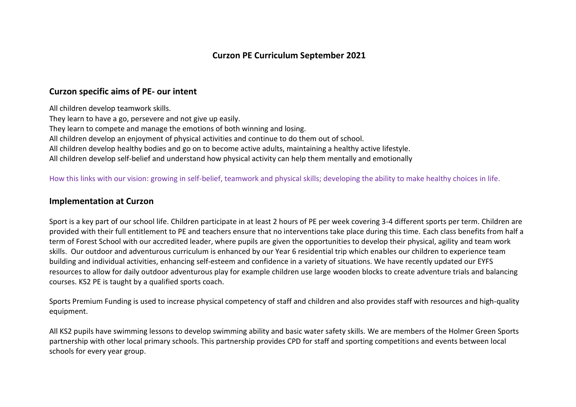# **Curzon specific aims of PE- our intent**

All children develop teamwork skills. They learn to have a go, persevere and not give up easily. They learn to compete and manage the emotions of both winning and losing. All children develop an enjoyment of physical activities and continue to do them out of school. All children develop healthy bodies and go on to become active adults, maintaining a healthy active lifestyle. All children develop self-belief and understand how physical activity can help them mentally and emotionally

How this links with our vision: growing in self-belief, teamwork and physical skills; developing the ability to make healthy choices in life.

#### **Implementation at Curzon**

Sport is a key part of our school life. Children participate in at least 2 hours of PE per week covering 3-4 different sports per term. Children are provided with their full entitlement to PE and teachers ensure that no interventions take place during this time. Each class benefits from half a term of Forest School with our accredited leader, where pupils are given the opportunities to develop their physical, agility and team work skills. Our outdoor and adventurous curriculum is enhanced by our Year 6 residential trip which enables our children to experience team building and individual activities, enhancing self-esteem and confidence in a variety of situations. We have recently updated our EYFS resources to allow for daily outdoor adventurous play for example children use large wooden blocks to create adventure trials and balancing courses. KS2 PE is taught by a qualified sports coach.

Sports Premium Funding is used to increase physical competency of staff and children and also provides staff with resources and high-quality equipment.

All KS2 pupils have swimming lessons to develop swimming ability and basic water safety skills. We are members of the Holmer Green Sports partnership with other local primary schools. This partnership provides CPD for staff and sporting competitions and events between local schools for every year group.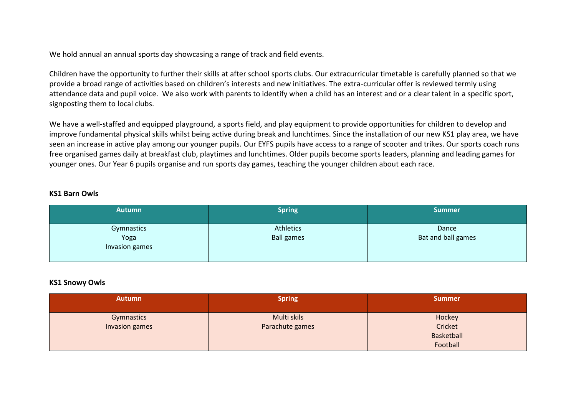We hold annual an annual sports day showcasing a range of track and field events.

Children have the opportunity to further their skills at after school sports clubs. Our extracurricular timetable is carefully planned so that we provide a broad range of activities based on children's interests and new initiatives. The extra-curricular offer is reviewed termly using attendance data and pupil voice. We also work with parents to identify when a child has an interest and or a clear talent in a specific sport, signposting them to local clubs.

We have a well-staffed and equipped playground, a sports field, and play equipment to provide opportunities for children to develop and improve fundamental physical skills whilst being active during break and lunchtimes. Since the installation of our new KS1 play area, we have seen an increase in active play among our younger pupils. Our EYFS pupils have access to a range of scooter and trikes. Our sports coach runs free organised games daily at breakfast club, playtimes and lunchtimes. Older pupils become sports leaders, planning and leading games for younger ones. Our Year 6 pupils organise and run sports day games, teaching the younger children about each race.

#### **KS1 Barn Owls**

| <b>Autumn</b>                        | <b>Spring</b>                  | <b>Summer</b>               |
|--------------------------------------|--------------------------------|-----------------------------|
| Gymnastics<br>Yoga<br>Invasion games | Athletics<br><b>Ball games</b> | Dance<br>Bat and ball games |

#### **KS1 Snowy Owls**

| <b>Autumn</b>                | <b>Spring</b>                  | <b>Summer</b>                               |
|------------------------------|--------------------------------|---------------------------------------------|
| Gymnastics<br>Invasion games | Multi skils<br>Parachute games | Hockey<br>Cricket<br>Basketball<br>Football |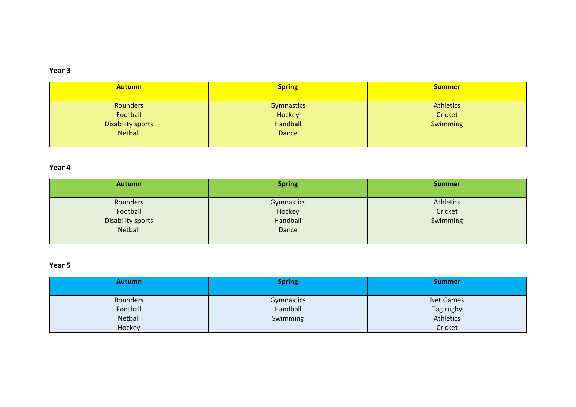## **Year 3**

| <b>Autumn</b>                                                             | <b>Spring</b>                             | <b>Summer</b>                           |  |  |
|---------------------------------------------------------------------------|-------------------------------------------|-----------------------------------------|--|--|
| <b>Rounders</b><br>Football<br><b>Disability sports</b><br><b>Netball</b> | Gymnastics<br>Hockey<br>Handball<br>Dance | <b>Athletics</b><br>Cricket<br>Swimming |  |  |

#### **Year 4**

| <b>Autumn</b>     | <b>Spring</b> | <b>Summer</b> |  |  |
|-------------------|---------------|---------------|--|--|
|                   |               |               |  |  |
| Rounders          | Gymnastics    | Athletics     |  |  |
| Football          | Hockey        | Cricket       |  |  |
| Disability sports | Handball      | Swimming      |  |  |
| Netball           | Dance         |               |  |  |
|                   |               |               |  |  |

## **Year 5**

| <b>Autumn</b> | <b>Spring</b> | <b>Summer</b>    |
|---------------|---------------|------------------|
| Rounders      | Gymnastics    | <b>Net Games</b> |
| Football      | Handball      | Tag rugby        |
| Netball       | Swimming      | Athletics        |
| Hockey        |               | Cricket          |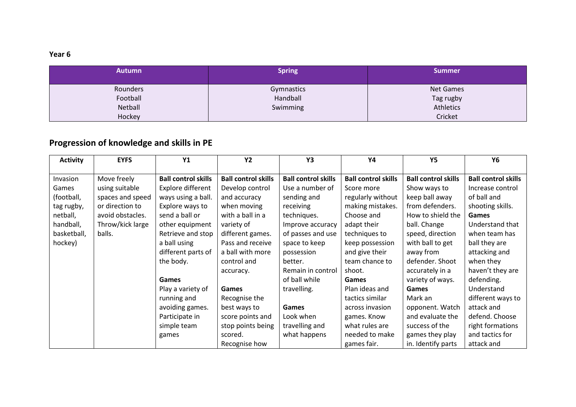# **Year 6**

| <b>Autumn</b> | <b>Spring</b> | <b>Summer</b>    |  |
|---------------|---------------|------------------|--|
| Rounders      | Gymnastics    | <b>Net Games</b> |  |
| Football      | Handball      | Tag rugby        |  |
| Netball       | Swimming      | Athletics        |  |
| Hockey        |               | Cricket          |  |

# **Progression of knowledge and skills in PE**

| <b>Activity</b> | <b>EYFS</b>      | <b>Y1</b>                  | <b>Y2</b>                  | Y3                         | Y4                         | <b>Y5</b>                  | Y6                         |
|-----------------|------------------|----------------------------|----------------------------|----------------------------|----------------------------|----------------------------|----------------------------|
|                 |                  |                            |                            |                            |                            |                            |                            |
| Invasion        | Move freely      | <b>Ball control skills</b> | <b>Ball control skills</b> | <b>Ball control skills</b> | <b>Ball control skills</b> | <b>Ball control skills</b> | <b>Ball control skills</b> |
| Games           | using suitable   | Explore different          | Develop control            | Use a number of            | Score more                 | Show ways to               | Increase control           |
| (football,      | spaces and speed | ways using a ball.         | and accuracy               | sending and                | regularly without          | keep ball away             | of ball and                |
| tag rugby,      | or direction to  | Explore ways to            | when moving                | receiving                  | making mistakes.           | from defenders.            | shooting skills.           |
| netball,        | avoid obstacles. | send a ball or             | with a ball in a           | techniques.                | Choose and                 | How to shield the          | <b>Games</b>               |
| handball,       | Throw/kick large | other equipment            | variety of                 | Improve accuracy           | adapt their                | ball. Change               | Understand that            |
| basketball,     | balls.           | Retrieve and stop          | different games.           | of passes and use          | techniques to              | speed, direction           | when team has              |
| hockey)         |                  | a ball using               | Pass and receive           | space to keep              | keep possession            | with ball to get           | ball they are              |
|                 |                  | different parts of         | a ball with more           | possession                 | and give their             | away from                  | attacking and              |
|                 |                  | the body.                  | control and                | better.                    | team chance to             | defender. Shoot            | when they                  |
|                 |                  |                            | accuracy.                  | Remain in control          | shoot.                     | accurately in a            | haven't they are           |
|                 |                  | Games                      |                            | of ball while              | <b>Games</b>               | variety of ways.           | defending.                 |
|                 |                  | Play a variety of          | <b>Games</b>               | travelling.                | Plan ideas and             | <b>Games</b>               | Understand                 |
|                 |                  | running and                | Recognise the              |                            | tactics similar            | Mark an                    | different ways to          |
|                 |                  | avoiding games.            | best ways to               | <b>Games</b>               | across invasion            | opponent. Watch            | attack and                 |
|                 |                  | Participate in             | score points and           | Look when                  | games. Know                | and evaluate the           | defend. Choose             |
|                 |                  | simple team                | stop points being          | travelling and             | what rules are             | success of the             | right formations           |
|                 |                  | games                      | scored.                    | what happens               | needed to make             | games they play            | and tactics for            |
|                 |                  |                            | Recognise how              |                            | games fair.                | in. Identify parts         | attack and                 |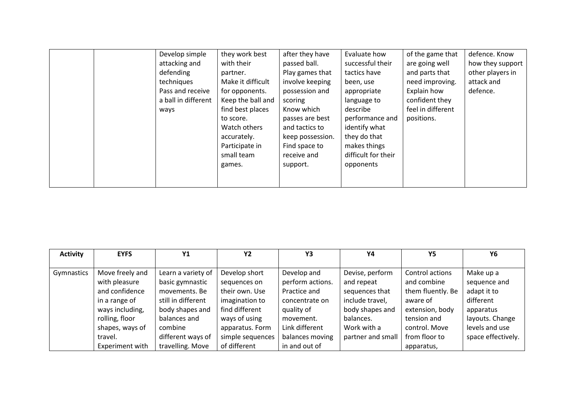| Develop simple      | they work best    | after they have  | Evaluate how        | of the game that  | defence. Know    |
|---------------------|-------------------|------------------|---------------------|-------------------|------------------|
| attacking and       | with their        | passed ball.     | successful their    | are going well    | how they support |
| defending           | partner.          | Play games that  | tactics have        | and parts that    | other players in |
| techniques          | Make it difficult | involve keeping  | been, use           | need improving.   | attack and       |
| Pass and receive    | for opponents.    | possession and   | appropriate         | Explain how       | defence.         |
| a ball in different | Keep the ball and | scoring          | language to         | confident they    |                  |
| ways                | find best places  | Know which       | describe            | feel in different |                  |
|                     | to score.         | passes are best  | performance and     | positions.        |                  |
|                     | Watch others      | and tactics to   | identify what       |                   |                  |
|                     | accurately.       | keep possession. | they do that        |                   |                  |
|                     | Participate in    | Find space to    | makes things        |                   |                  |
|                     | small team        | receive and      | difficult for their |                   |                  |
|                     | games.            | support.         | opponents           |                   |                  |
|                     |                   |                  |                     |                   |                  |
|                     |                   |                  |                     |                   |                  |

| <b>Activity</b> | <b>EYFS</b>     | <b>Y1</b>          | <b>Y2</b>        | Y3               | Y4                | <b>Y5</b>         | Υ6                 |
|-----------------|-----------------|--------------------|------------------|------------------|-------------------|-------------------|--------------------|
|                 |                 |                    |                  |                  |                   |                   |                    |
| Gymnastics      | Move freely and | Learn a variety of | Develop short    | Develop and      | Devise, perform   | Control actions   | Make up a          |
|                 | with pleasure   | basic gymnastic    | sequences on     | perform actions. | and repeat        | and combine       | sequence and       |
|                 | and confidence  | movements. Be      | their own. Use   | Practice and     | sequences that    | them fluently. Be | adapt it to        |
|                 | in a range of   | still in different | imagination to   | concentrate on   | include travel,   | aware of          | different          |
|                 | ways including, | body shapes and    | find different   | quality of       | body shapes and   | extension, body   | apparatus          |
|                 | rolling, floor  | balances and       | ways of using    | movement.        | balances.         | tension and       | layouts. Change    |
|                 | shapes, ways of | combine            | apparatus. Form  | Link different   | Work with a       | control. Move     | levels and use     |
|                 | travel.         | different ways of  | simple sequences | balances moving  | partner and small | from floor to     | space effectively. |
|                 | Experiment with | travelling. Move   | of different     | in and out of    |                   | apparatus,        |                    |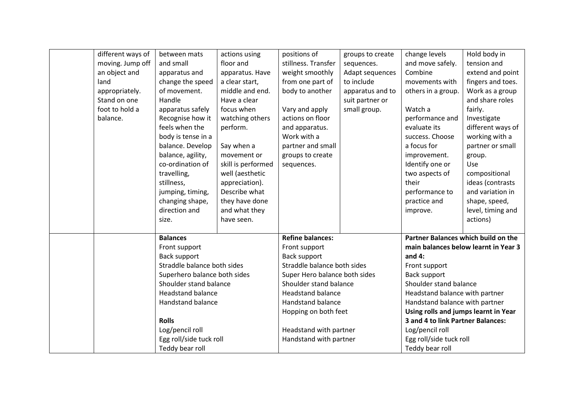| different ways of<br>moving. Jump off | between mats<br>and small    | actions using<br>floor and | positions of<br>stillness. Transfer | groups to create<br>sequences. | change levels<br>and move safely.    | Hold body in<br>tension and |
|---------------------------------------|------------------------------|----------------------------|-------------------------------------|--------------------------------|--------------------------------------|-----------------------------|
| an object and                         | apparatus and                | apparatus. Have            | weight smoothly                     | Adapt sequences                | Combine                              | extend and point            |
| land                                  | change the speed             | a clear start,             | from one part of                    | to include                     | movements with                       | fingers and toes.           |
| appropriately.                        | of movement.                 | middle and end.            | body to another                     | apparatus and to               | others in a group.                   | Work as a group             |
| Stand on one                          | Handle                       | Have a clear               |                                     | suit partner or                |                                      | and share roles             |
| foot to hold a                        | apparatus safely             | focus when                 | Vary and apply                      | small group.                   | Watch a                              | fairly.                     |
| balance.                              | Recognise how it             | watching others            | actions on floor                    |                                | performance and                      | Investigate                 |
|                                       | feels when the               | perform.                   | and apparatus.                      |                                | evaluate its                         | different ways of           |
|                                       | body is tense in a           |                            | Work with a                         |                                | success. Choose                      | working with a              |
|                                       | balance. Develop             | Say when a                 | partner and small                   |                                | a focus for                          | partner or small            |
|                                       | balance, agility,            | movement or                | groups to create                    |                                | improvement.                         | group.                      |
|                                       | co-ordination of             | skill is performed         | sequences.                          |                                | Identify one or                      | Use                         |
|                                       | travelling,                  | well (aesthetic            |                                     |                                | two aspects of                       | compositional               |
|                                       | stillness,                   | appreciation).             |                                     |                                | their                                | ideas (contrasts            |
|                                       | jumping, timing,             | Describe what              |                                     |                                | performance to                       | and variation in            |
|                                       | changing shape,              | they have done             |                                     |                                | practice and                         | shape, speed,               |
|                                       | direction and                | and what they              |                                     |                                | improve.                             | level, timing and           |
|                                       | size.                        | have seen.                 |                                     |                                |                                      | actions)                    |
|                                       | <b>Balances</b>              |                            | <b>Refine balances:</b>             |                                | Partner Balances which build on the  |                             |
|                                       | Front support                |                            | Front support                       |                                | main balances below learnt in Year 3 |                             |
|                                       | Back support                 |                            | Back support                        |                                | and $4:$                             |                             |
|                                       | Straddle balance both sides  |                            | Straddle balance both sides         |                                | Front support                        |                             |
|                                       | Superhero balance both sides |                            | Super Hero balance both sides       |                                | Back support                         |                             |
|                                       | Shoulder stand balance       |                            | Shoulder stand balance              |                                | Shoulder stand balance               |                             |
|                                       | <b>Headstand balance</b>     |                            | <b>Headstand balance</b>            |                                | Headstand balance with partner       |                             |
|                                       | <b>Handstand balance</b>     |                            | <b>Handstand balance</b>            |                                | Handstand balance with partner       |                             |
|                                       |                              |                            | Hopping on both feet                |                                | Using rolls and jumps learnt in Year |                             |
|                                       | <b>Rolls</b>                 |                            |                                     |                                | 3 and 4 to link Partner Balances:    |                             |
|                                       | Log/pencil roll              |                            | Headstand with partner              |                                | Log/pencil roll                      |                             |
|                                       | Egg roll/side tuck roll      |                            | Handstand with partner              |                                | Egg roll/side tuck roll              |                             |
|                                       | Teddy bear roll              |                            |                                     |                                | Teddy bear roll                      |                             |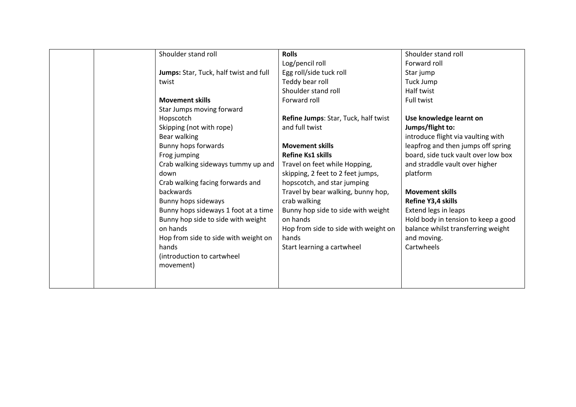|  | Shoulder stand roll                    | <b>Rolls</b>                         | Shoulder stand roll                 |
|--|----------------------------------------|--------------------------------------|-------------------------------------|
|  |                                        | Log/pencil roll                      | Forward roll                        |
|  | Jumps: Star, Tuck, half twist and full | Egg roll/side tuck roll              | Star jump                           |
|  | twist                                  | Teddy bear roll                      | Tuck Jump                           |
|  |                                        | Shoulder stand roll                  | Half twist                          |
|  | <b>Movement skills</b>                 | Forward roll                         | Full twist                          |
|  | Star Jumps moving forward              |                                      |                                     |
|  | Hopscotch                              | Refine Jumps: Star, Tuck, half twist | Use knowledge learnt on             |
|  | Skipping (not with rope)               | and full twist                       | Jumps/flight to:                    |
|  | Bear walking                           |                                      | introduce flight via vaulting with  |
|  | Bunny hops forwards                    | <b>Movement skills</b>               | leapfrog and then jumps off spring  |
|  | Frog jumping                           | <b>Refine Ks1 skills</b>             | board, side tuck vault over low box |
|  | Crab walking sideways tummy up and     | Travel on feet while Hopping,        | and straddle vault over higher      |
|  | down                                   | skipping, 2 feet to 2 feet jumps,    | platform                            |
|  | Crab walking facing forwards and       | hopscotch, and star jumping          |                                     |
|  | backwards                              | Travel by bear walking, bunny hop,   | <b>Movement skills</b>              |
|  | Bunny hops sideways                    | crab walking                         | Refine Y3,4 skills                  |
|  | Bunny hops sideways 1 foot at a time   | Bunny hop side to side with weight   | Extend legs in leaps                |
|  | Bunny hop side to side with weight     | on hands                             | Hold body in tension to keep a good |
|  | on hands                               | Hop from side to side with weight on | balance whilst transferring weight  |
|  | Hop from side to side with weight on   | hands                                | and moving.                         |
|  | hands                                  | Start learning a cartwheel           | Cartwheels                          |
|  | (introduction to cartwheel)            |                                      |                                     |
|  | movement)                              |                                      |                                     |
|  |                                        |                                      |                                     |
|  |                                        |                                      |                                     |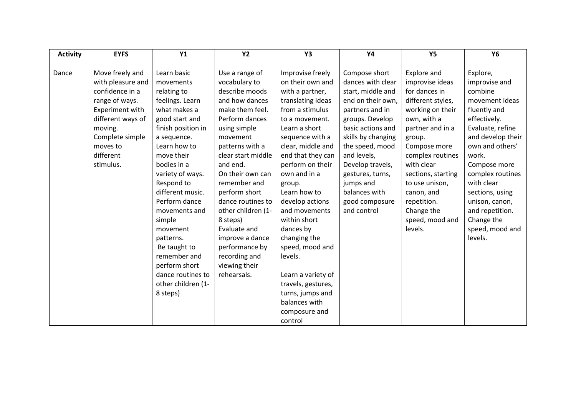| <b>Activity</b> | <b>EYFS</b>       | <b>Y1</b>          | <b>Y2</b>          | Y3                 | <b>Y4</b>          | <b>Y5</b>          | <b>Y6</b>         |
|-----------------|-------------------|--------------------|--------------------|--------------------|--------------------|--------------------|-------------------|
|                 |                   |                    |                    |                    |                    |                    |                   |
| Dance           | Move freely and   | Learn basic        | Use a range of     | Improvise freely   | Compose short      | <b>Explore and</b> | Explore,          |
|                 | with pleasure and | movements          | vocabulary to      | on their own and   | dances with clear  | improvise ideas    | improvise and     |
|                 | confidence in a   | relating to        | describe moods     | with a partner,    | start, middle and  | for dances in      | combine           |
|                 | range of ways.    | feelings. Learn    | and how dances     | translating ideas  | end on their own,  | different styles,  | movement ideas    |
|                 | Experiment with   | what makes a       | make them feel.    | from a stimulus    | partners and in    | working on their   | fluently and      |
|                 | different ways of | good start and     | Perform dances     | to a movement.     | groups. Develop    | own, with a        | effectively.      |
|                 | moving.           | finish position in | using simple       | Learn a short      | basic actions and  | partner and in a   | Evaluate, refine  |
|                 | Complete simple   | a sequence.        | movement           | sequence with a    | skills by changing | group.             | and develop their |
|                 | moves to          | Learn how to       | patterns with a    | clear, middle and  | the speed, mood    | Compose more       | own and others'   |
|                 | different         | move their         | clear start middle | end that they can  | and levels,        | complex routines   | work.             |
|                 | stimulus.         | bodies in a        | and end.           | perform on their   | Develop travels,   | with clear         | Compose more      |
|                 |                   | variety of ways.   | On their own can   | own and in a       | gestures, turns,   | sections, starting | complex routines  |
|                 |                   | Respond to         | remember and       | group.             | jumps and          | to use unison,     | with clear        |
|                 |                   | different music.   | perform short      | Learn how to       | balances with      | canon, and         | sections, using   |
|                 |                   | Perform dance      | dance routines to  | develop actions    | good composure     | repetition.        | unison, canon,    |
|                 |                   | movements and      | other children (1- | and movements      | and control        | Change the         | and repetition.   |
|                 |                   | simple             | 8 steps)           | within short       |                    | speed, mood and    | Change the        |
|                 |                   | movement           | Evaluate and       | dances by          |                    | levels.            | speed, mood and   |
|                 |                   | patterns.          | improve a dance    | changing the       |                    |                    | levels.           |
|                 |                   | Be taught to       | performance by     | speed, mood and    |                    |                    |                   |
|                 |                   | remember and       | recording and      | levels.            |                    |                    |                   |
|                 |                   | perform short      | viewing their      |                    |                    |                    |                   |
|                 |                   | dance routines to  | rehearsals.        | Learn a variety of |                    |                    |                   |
|                 |                   | other children (1- |                    | travels, gestures, |                    |                    |                   |
|                 |                   | 8 steps)           |                    | turns, jumps and   |                    |                    |                   |
|                 |                   |                    |                    | balances with      |                    |                    |                   |
|                 |                   |                    |                    | composure and      |                    |                    |                   |
|                 |                   |                    |                    | control            |                    |                    |                   |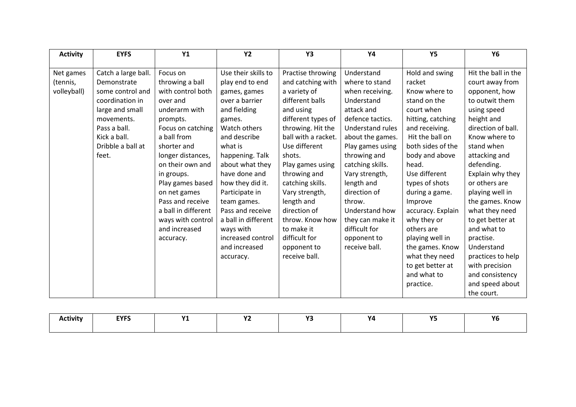| <b>Activity</b> | <b>EYFS</b>         | <b>Y1</b>           | <b>Y2</b>           | Y3                  | Y4                      | <b>Y5</b>         | <b>Y6</b>           |
|-----------------|---------------------|---------------------|---------------------|---------------------|-------------------------|-------------------|---------------------|
|                 |                     |                     |                     |                     |                         |                   |                     |
| Net games       | Catch a large ball. | Focus on            | Use their skills to | Practise throwing   | Understand              | Hold and swing    | Hit the ball in the |
| (tennis,        | Demonstrate         | throwing a ball     | play end to end     | and catching with   | where to stand          | racket            | court away from     |
| volleyball)     | some control and    | with control both   | games, games        | a variety of        | when receiving.         | Know where to     | opponent, how       |
|                 | coordination in     | over and            | over a barrier      | different balls     | Understand              | stand on the      | to outwit them      |
|                 | large and small     | underarm with       | and fielding        | and using           | attack and              | court when        | using speed         |
|                 | movements.          | prompts.            | games.              | different types of  | defence tactics.        | hitting, catching | height and          |
|                 | Pass a ball.        | Focus on catching   | Watch others        | throwing. Hit the   | <b>Understand rules</b> | and receiving.    | direction of ball.  |
|                 | Kick a ball.        | a ball from         | and describe        | ball with a racket. | about the games.        | Hit the ball on   | Know where to       |
|                 | Dribble a ball at   | shorter and         | what is             | Use different       | Play games using        | both sides of the | stand when          |
|                 | feet.               | longer distances,   | happening. Talk     | shots.              | throwing and            | body and above    | attacking and       |
|                 |                     | on their own and    | about what they     | Play games using    | catching skills.        | head.             | defending.          |
|                 |                     | in groups.          | have done and       | throwing and        | Vary strength,          | Use different     | Explain why they    |
|                 |                     | Play games based    | how they did it.    | catching skills.    | length and              | types of shots    | or others are       |
|                 |                     | on net games        | Participate in      | Vary strength,      | direction of            | during a game.    | playing well in     |
|                 |                     | Pass and receive    | team games.         | length and          | throw.                  | Improve           | the games. Know     |
|                 |                     | a ball in different | Pass and receive    | direction of        | Understand how          | accuracy. Explain | what they need      |
|                 |                     | ways with control   | a ball in different | throw. Know how     | they can make it        | why they or       | to get better at    |
|                 |                     | and increased       | ways with           | to make it          | difficult for           | others are        | and what to         |
|                 |                     | accuracy.           | increased control   | difficult for       | opponent to             | playing well in   | practise.           |
|                 |                     |                     | and increased       | opponent to         | receive ball.           | the games. Know   | Understand          |
|                 |                     |                     | accuracy.           | receive ball.       |                         | what they need    | practices to help   |
|                 |                     |                     |                     |                     |                         | to get better at  | with precision      |
|                 |                     |                     |                     |                     |                         | and what to       | and consistency     |
|                 |                     |                     |                     |                     |                         | practice.         | and speed about     |
|                 |                     |                     |                     |                     |                         |                   | the court.          |

| iwitw | <b>CVCC</b> | 114 | $\mathbf{v}$ | $\overline{\phantom{a}}$ | $V_{\Lambda}$ | $\mathbf{v}$ | v  |
|-------|-------------|-----|--------------|--------------------------|---------------|--------------|----|
| .     | .           | $-$ |              |                          |               | $-$          | TO |
|       |             |     |              |                          |               |              |    |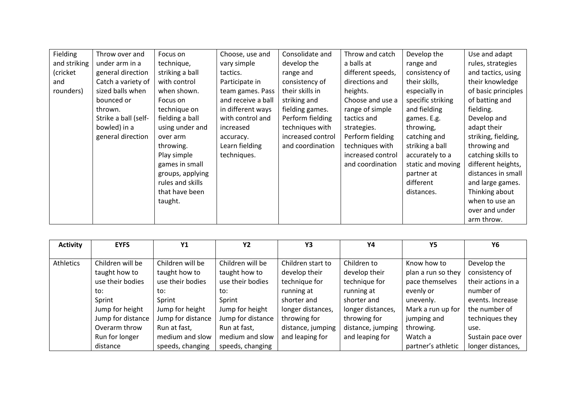| Fielding     | Throw over and       | Focus on         | Choose, use and    | Consolidate and   | Throw and catch   | Develop the       | Use and adapt       |
|--------------|----------------------|------------------|--------------------|-------------------|-------------------|-------------------|---------------------|
| and striking | under arm in a       | technique,       | vary simple        | develop the       | a balls at        | range and         | rules, strategies   |
| (cricket     | general direction    | striking a ball  | tactics.           | range and         | different speeds, | consistency of    | and tactics, using  |
| and          | Catch a variety of   | with control     | Participate in     | consistency of    | directions and    | their skills,     | their knowledge     |
| rounders)    | sized balls when     | when shown.      | team games. Pass   | their skills in   | heights.          | especially in     | of basic principles |
|              | bounced or           | Focus on         | and receive a ball | striking and      | Choose and use a  | specific striking | of batting and      |
|              | thrown.              | technique on     | in different ways  | fielding games.   | range of simple   | and fielding      | fielding.           |
|              | Strike a ball (self- | fielding a ball  | with control and   | Perform fielding  | tactics and       | games. E.g.       | Develop and         |
|              | bowled) in a         | using under and  | increased          | techniques with   | strategies.       | throwing,         | adapt their         |
|              | general direction    | over arm         | accuracy.          | increased control | Perform fielding  | catching and      | striking, fielding, |
|              |                      | throwing.        | Learn fielding     | and coordination  | techniques with   | striking a ball   | throwing and        |
|              |                      | Play simple      | techniques.        |                   | increased control | accurately to a   | catching skills to  |
|              |                      | games in small   |                    |                   | and coordination  | static and moving | different heights,  |
|              |                      | groups, applying |                    |                   |                   | partner at        | distances in small  |
|              |                      | rules and skills |                    |                   |                   | different         | and large games.    |
|              |                      | that have been   |                    |                   |                   | distances.        | Thinking about      |
|              |                      | taught.          |                    |                   |                   |                   | when to use an      |
|              |                      |                  |                    |                   |                   |                   |                     |
|              |                      |                  |                    |                   |                   |                   | over and under      |
|              |                      |                  |                    |                   |                   |                   | arm throw.          |

| <b>Activity</b> | <b>EYFS</b>       | <b>Y1</b>         | <b>Y2</b>         | Y3                | Y4                | <b>Y5</b>          | Υ6                 |
|-----------------|-------------------|-------------------|-------------------|-------------------|-------------------|--------------------|--------------------|
|                 |                   |                   |                   |                   |                   |                    |                    |
| Athletics       | Children will be  | Children will be  | Children will be  | Children start to | Children to       | Know how to        | Develop the        |
|                 | taught how to     | taught how to     | taught how to     | develop their     | develop their     | plan a run so they | consistency of     |
|                 | use their bodies  | use their bodies  | use their bodies  | technique for     | technique for     | pace themselves    | their actions in a |
|                 | to:               | to:               | to:               | running at        | running at        | evenly or          | number of          |
|                 | Sprint            | Sprint            | Sprint            | shorter and       | shorter and       | unevenly.          | events. Increase   |
|                 | Jump for height   | Jump for height   | Jump for height   | longer distances, | longer distances, | Mark a run up for  | the number of      |
|                 | Jump for distance | Jump for distance | Jump for distance | throwing for      | throwing for      | jumping and        | techniques they    |
|                 | Overarm throw     | Run at fast,      | Run at fast,      | distance, jumping | distance, jumping | throwing.          | use.               |
|                 | Run for longer    | medium and slow   | medium and slow   | and leaping for   | and leaping for   | Watch a            | Sustain pace over  |
|                 | distance          | speeds, changing  | speeds, changing  |                   |                   | partner's athletic | longer distances,  |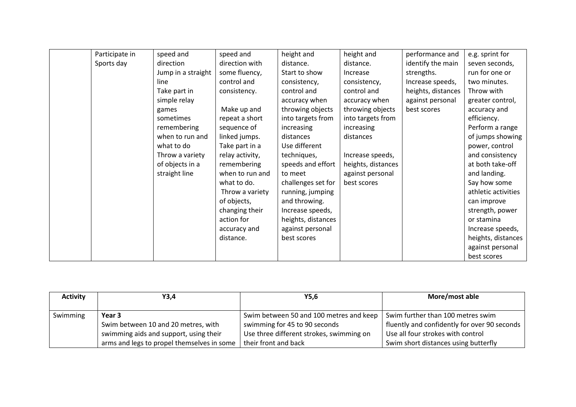| Participate in | speed and          | speed and       | height and         | height and         | performance and    | e.g. sprint for     |
|----------------|--------------------|-----------------|--------------------|--------------------|--------------------|---------------------|
| Sports day     | direction          | direction with  | distance.          | distance.          | identify the main  | seven seconds,      |
|                | Jump in a straight | some fluency,   | Start to show      | Increase           | strengths.         | run for one or      |
|                | line               | control and     | consistency,       | consistency,       | Increase speeds,   | two minutes.        |
|                | Take part in       | consistency.    | control and        | control and        | heights, distances | Throw with          |
|                | simple relay       |                 | accuracy when      | accuracy when      | against personal   | greater control,    |
|                | games              | Make up and     | throwing objects   | throwing objects   | best scores        | accuracy and        |
|                | sometimes          | repeat a short  | into targets from  | into targets from  |                    | efficiency.         |
|                | remembering        | sequence of     | increasing         | increasing         |                    | Perform a range     |
|                | when to run and    | linked jumps.   | distances          | distances          |                    | of jumps showing    |
|                | what to do         | Take part in a  | Use different      |                    |                    | power, control      |
|                | Throw a variety    | relay activity, | techniques,        | Increase speeds,   |                    | and consistency     |
|                | of objects in a    | remembering     | speeds and effort  | heights, distances |                    | at both take-off    |
|                | straight line      | when to run and | to meet            | against personal   |                    | and landing.        |
|                |                    | what to do.     | challenges set for | best scores        |                    | Say how some        |
|                |                    | Throw a variety | running, jumping   |                    |                    | athletic activities |
|                |                    | of objects,     | and throwing.      |                    |                    | can improve         |
|                |                    | changing their  | Increase speeds,   |                    |                    | strength, power     |
|                |                    | action for      | heights, distances |                    |                    | or stamina          |
|                |                    | accuracy and    | against personal   |                    |                    | Increase speeds,    |
|                |                    | distance.       | best scores        |                    |                    | heights, distances  |
|                |                    |                 |                    |                    |                    | against personal    |
|                |                    |                 |                    |                    |                    | best scores         |

| <b>Activity</b> | Y3,4                                       | Y5,6                                     | More/most able                               |
|-----------------|--------------------------------------------|------------------------------------------|----------------------------------------------|
|                 |                                            |                                          |                                              |
| Swimming        | Year 3                                     | Swim between 50 and 100 metres and keep  | Swim further than 100 metres swim            |
|                 | Swim between 10 and 20 metres, with        | swimming for 45 to 90 seconds            | fluently and confidently for over 90 seconds |
|                 | swimming aids and support, using their     | Use three different strokes, swimming on | Use all four strokes with control            |
|                 | arms and legs to propel themselves in some | their front and back                     | Swim short distances using butterfly         |